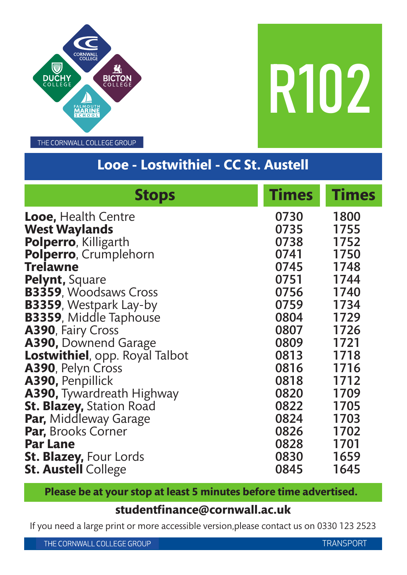

R102

THE CORNWALL COLLEGE GROUP

# **Looe - Lostwithiel - CC St. Austell**

| <b>Stops</b>                     | <b>Times</b> | <b>Times</b> |
|----------------------------------|--------------|--------------|
| <b>Looe, Health Centre</b>       | 0730         | 1800         |
| <b>West Waylands</b>             | 0735         | 1755         |
| Polperro, Killigarth             | 0738         | 1752         |
| Polperro, Crumplehorn            | 0741         | 1750         |
| <b>Trelawne</b>                  | 0745         | 1748         |
| Pelynt, Square                   | 0751         | 1744         |
| <b>B3359, Woodsaws Cross</b>     | 0756 —       | 1740         |
| <b>B3359, Westpark Lay-by</b>    | 0759         | 1734         |
| <b>B3359, Middle Taphouse</b>    | 0804 1729    |              |
| A390, Fairy Cross                | 0807 1726    |              |
| A390, Downend Garage             | 0809         | 1721         |
| Lostwithiel, opp. Royal Talbot   | 0813         | 1718         |
| A390, Pelyn Cross                | 0816         | 1716         |
| A390, Penpillick                 | 0818         | 1712         |
| <b>A390, Tywardreath Highway</b> | 0820         | 1709         |
| <b>St. Blazey, Station Road</b>  | 0822         | 1705         |
| Par, Middleway Garage            | 0824         | 1703         |
| <b>Par, Brooks Corner</b>        | 0826         | 1702         |
| <b>Par Lane</b>                  | 0828         | 1701         |
| <b>St. Blazey, Four Lords</b>    | 0830         | 1659         |
| <b>St. Austell College</b>       | 0845         | 1645         |

**Please be at your stop at least 5 minutes before time advertised.**

#### **studentfinance@cornwall.ac.uk**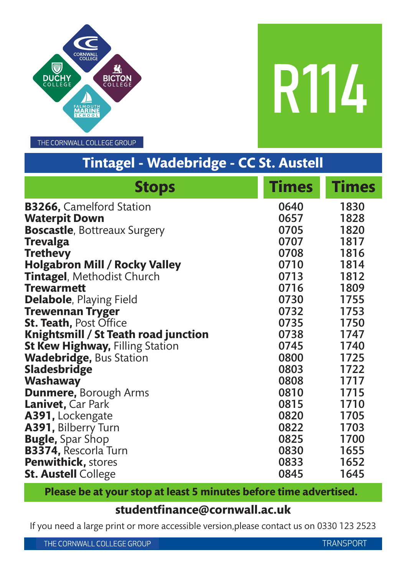

R114

THE CORNWALL COLLEGE GROUP

# **Tintagel - Wadebridge - CC St. Austell**

| <b>Stops</b>                           | <b>Times</b> | <b>Times</b> |
|----------------------------------------|--------------|--------------|
| <b>B3266, Camelford Station</b>        | 0640         | 1830         |
| <b>Waterpit Down</b>                   | 0657         | 1828         |
| <b>Boscastle, Bottreaux Surgery</b>    | 0705         | 1820         |
| <b>Trevalga</b>                        | 0707         | 1817         |
| <b>Trethevy</b>                        | 0708         | 1816         |
| <b>Holgabron Mill / Rocky Valley</b>   | 0710         | 1814         |
| <b>Tintagel, Methodist Church</b>      | 0713         | 1812         |
| <b>Trewarmett</b>                      | 0716         | 1809         |
| <b>Delabole, Playing Field</b>         | 0730         | 1755         |
| <b>Trewennan Tryger</b>                | 0732         | 1753         |
| <b>St. Teath, Post Office</b>          | 0735         | 1750         |
| Knightsmill / St Teath road junction   | 0738         | 1747         |
| <b>St Kew Highway, Filling Station</b> | 0745         | 1740         |
| <b>Wadebridge, Bus Station</b>         | 0800         | 1725         |
| <b>Sladesbridge</b>                    | 0803         | 1722         |
| <b>Washaway</b>                        | 0808         | 1717         |
| <b>Dunmere, Borough Arms</b>           | 0810         | 1715         |
| <b>Lanivet, Car Park</b>               | 0815         | 1710         |
| A391, Lockengate                       | 0820         | 1705         |
| A391, Bilberry Turn                    | 0822         | 1703         |
| <b>Bugle, Spar Shop</b>                | 0825         | 1700         |
| <b>B3374, Rescorla Turn</b>            | 0830         | 1655         |
| <b>Penwithick, stores</b>              | 0833         | 1652         |
| <b>St. Austell College</b>             | 0845         | 1645         |

**Please be at your stop at least 5 minutes before time advertised.**

#### **studentfinance@cornwall.ac.uk**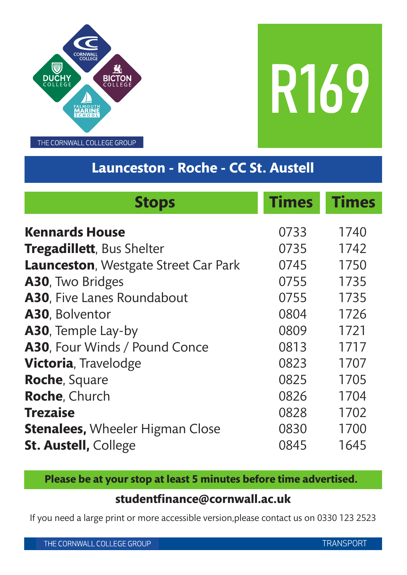

R169

## **Launceston - Roche - CC St. Austell**

| <b>Stops</b>                                | <b>Times</b> | <b>Times</b> |
|---------------------------------------------|--------------|--------------|
| <b>Kennards House</b>                       | 0733         | 1740         |
| Tregadillett, Bus Shelter                   | 0735         | 1742         |
| <b>Launceston, Westgate Street Car Park</b> | 0745         | 1750         |
| A30, Two Bridges                            | 0755         | 1735         |
| A30, Five Lanes Roundabout                  | 0755         | 1735         |
| A30, Bolventor                              | 0804         | 1726         |
| A30, Temple Lay-by                          | 0809         | 1721         |
| A30, Four Winds / Pound Conce               | 0813         | 1717         |
| <b>Victoria, Travelodge</b>                 | 0823         | 1707         |
| <b>Roche, Square</b>                        | 0825         | 1705         |
| Roche, Church                               | 0826         | 1704         |
| <b>Trezaise</b>                             | 0828         | 1702         |
| <b>Stenalees, Wheeler Higman Close</b>      | 0830         | 1700         |
| <b>St. Austell, College</b>                 | 0845         | 1645         |

**Please be at your stop at least 5 minutes before time advertised.**

### **studentfinance@cornwall.ac.uk**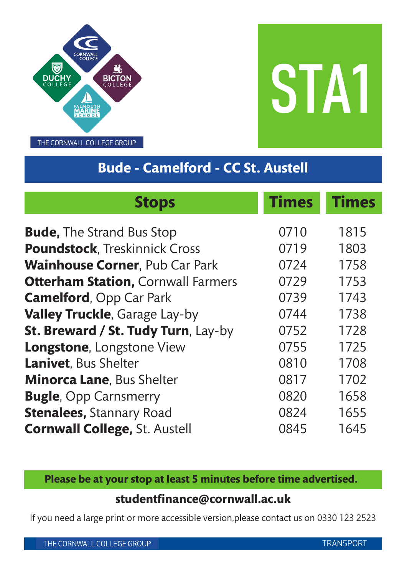

STA1

# **Bude - Camelford - CC St. Austell**

| <b>Stops</b>                              | <b>Times</b> | <b>Times</b> |
|-------------------------------------------|--------------|--------------|
| <b>Bude, The Strand Bus Stop</b>          | 0710         | 1815         |
| <b>Poundstock, Treskinnick Cross</b>      | 0719         | 1803         |
| <b>Wainhouse Corner, Pub Car Park</b>     | 0724         | 1758         |
| <b>Otterham Station, Cornwall Farmers</b> | 0729         | 1753         |
| <b>Camelford, Opp Car Park</b>            | 0739         | 1743         |
| Valley Truckle, Garage Lay-by             | 0744         | 1738         |
| St. Breward / St. Tudy Turn, Lay-by       | 0752         | 1728         |
| Longstone, Longstone View                 | 0755         | 1725         |
| Lanivet, Bus Shelter                      | 0810         | 1708         |
| <b>Minorca Lane, Bus Shelter</b>          | 0817         | 1702         |
| <b>Bugle, Opp Carnsmerry</b>              | 0820         | 1658         |
| <b>Stenalees, Stannary Road</b>           | 0824         | 1655         |
| <b>Cornwall College, St. Austell</b>      | 0845         | 1645         |

**Please be at your stop at least 5 minutes before time advertised.**

### **studentfinance@cornwall.ac.uk**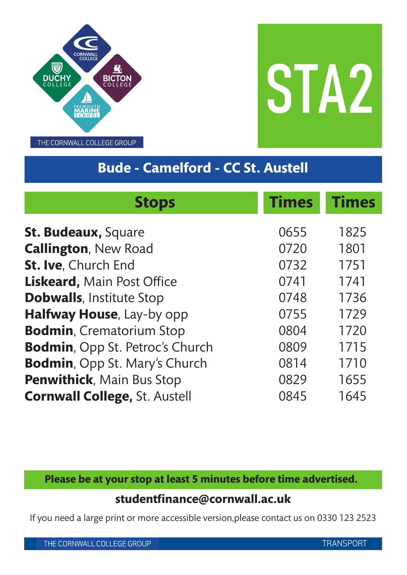



# **Bude - Camelford - CC St. Austell**

| <b>Stops</b>                           | <b>Times</b> | <b>Times</b> |
|----------------------------------------|--------------|--------------|
| <b>St. Budeaux, Square</b>             | 0655         | 1825         |
| <b>Callington, New Road</b>            | 0720         | 1801         |
| St. Ive, Church End                    | 0732         | 1751         |
| Liskeard, Main Post Office             | 0741         | 1741         |
| <b>Dobwalls, Institute Stop</b>        | 0748         | 1736         |
| Halfway House, Lay-by opp              | 0755         | 1729         |
| <b>Bodmin, Crematorium Stop</b>        | 0804         | 1720         |
| <b>Bodmin, Opp St. Petroc's Church</b> | 0809         | 1715         |
| <b>Bodmin, Opp St. Mary's Church</b>   | 0814         | 1710         |
| <b>Penwithick, Main Bus Stop</b>       | 0829         | 1655         |
| <b>Cornwall College, St. Austell</b>   | 0845         | 1645         |

**Please be at your stop at least 5 minutes before time advertised.**

### **studentfinance@cornwall.ac.uk**